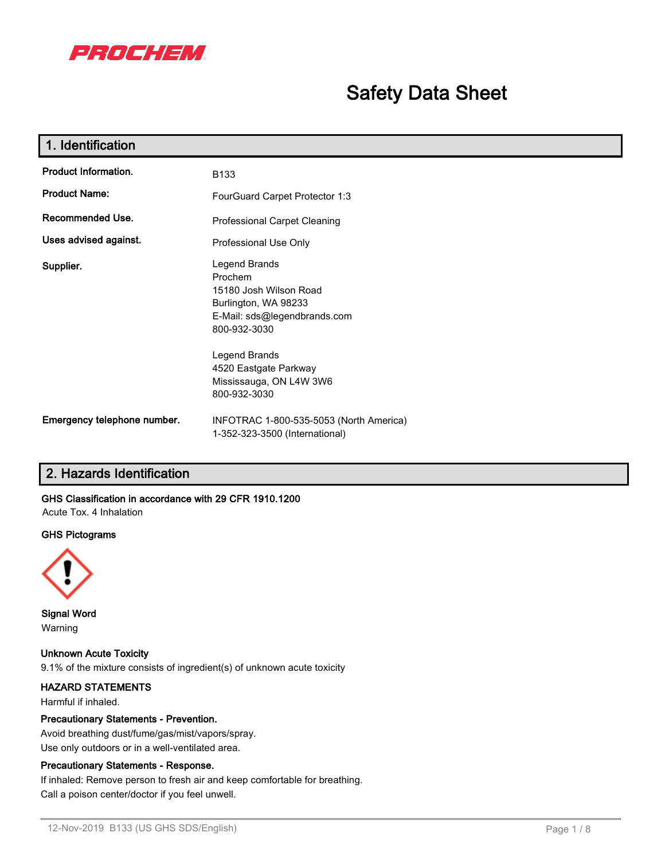

# **Safety Data Sheet**

| 1. Identification           |                                                                                                                            |
|-----------------------------|----------------------------------------------------------------------------------------------------------------------------|
| <b>Product Information.</b> | B133                                                                                                                       |
| <b>Product Name:</b>        | FourGuard Carpet Protector 1:3                                                                                             |
| Recommended Use.            | <b>Professional Carpet Cleaning</b>                                                                                        |
| Uses advised against.       | Professional Use Only                                                                                                      |
| Supplier.                   | Legend Brands<br>Prochem<br>15180 Josh Wilson Road<br>Burlington, WA 98233<br>E-Mail: sds@legendbrands.com<br>800-932-3030 |
|                             | Legend Brands<br>4520 Eastgate Parkway<br>Mississauga, ON L4W 3W6<br>800-932-3030                                          |
| Emergency telephone number. | INFOTRAC 1-800-535-5053 (North America)<br>1-352-323-3500 (International)                                                  |

### **2. Hazards Identification**

### **GHS Classification in accordance with 29 CFR 1910.1200**

Acute Tox. 4 Inhalation

#### **GHS Pictograms**



**Signal Word** Warning

**Unknown Acute Toxicity** 9.1% of the mixture consists of ingredient(s) of unknown acute toxicity

### **HAZARD STATEMENTS**

Harmful if inhaled.

#### **Precautionary Statements - Prevention.**

Avoid breathing dust/fume/gas/mist/vapors/spray. Use only outdoors or in a well-ventilated area.

#### **Precautionary Statements - Response.**

If inhaled: Remove person to fresh air and keep comfortable for breathing.

Call a poison center/doctor if you feel unwell.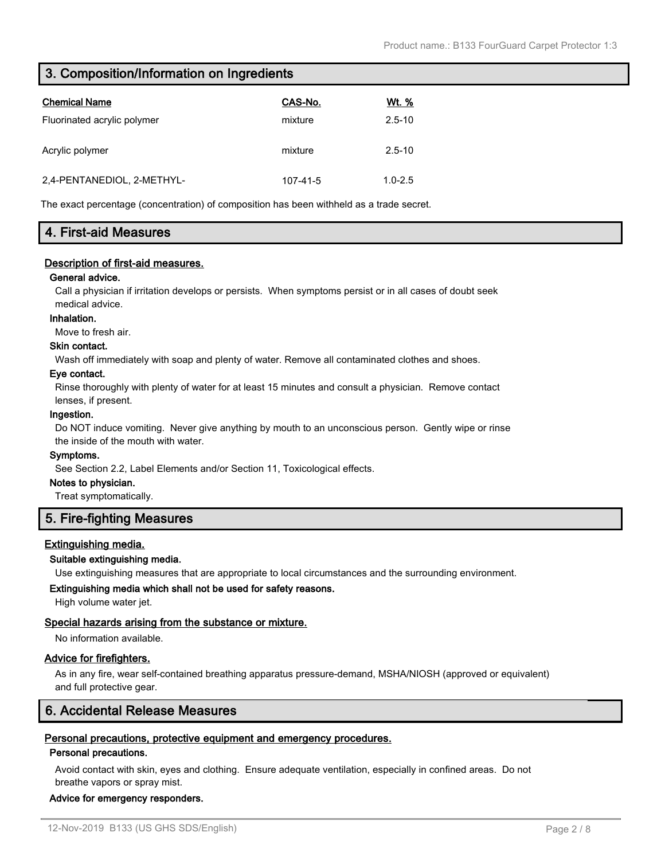### **3. Composition/Information on Ingredients**

| <b>Chemical Name</b>        | CAS-No.  | Wt. %       |
|-----------------------------|----------|-------------|
| Fluorinated acrylic polymer | mixture  | $2.5 - 10$  |
| Acrylic polymer             | mixture  | $2.5 - 10$  |
| 2,4-PENTANEDIOL, 2-METHYL-  | 107-41-5 | $1.0 - 2.5$ |

The exact percentage (concentration) of composition has been withheld as a trade secret.

### **4. First-aid Measures**

#### **Description of first-aid measures.**

#### **General advice.**

Call a physician if irritation develops or persists. When symptoms persist or in all cases of doubt seek medical advice.

#### **Inhalation.**

Move to fresh air.

#### **Skin contact.**

Wash off immediately with soap and plenty of water. Remove all contaminated clothes and shoes.

#### **Eye contact.**

Rinse thoroughly with plenty of water for at least 15 minutes and consult a physician. Remove contact lenses, if present.

#### **Ingestion.**

Do NOT induce vomiting. Never give anything by mouth to an unconscious person. Gently wipe or rinse the inside of the mouth with water.

#### **Symptoms.**

See Section 2.2, Label Elements and/or Section 11, Toxicological effects.

#### **Notes to physician.**

Treat symptomatically.

### **5. Fire-fighting Measures**

#### **Extinguishing media.**

#### **Suitable extinguishing media.**

Use extinguishing measures that are appropriate to local circumstances and the surrounding environment.

#### **Extinguishing media which shall not be used for safety reasons.**

High volume water jet.

#### **Special hazards arising from the substance or mixture.**

No information available.

#### **Advice for firefighters.**

As in any fire, wear self-contained breathing apparatus pressure-demand, MSHA/NIOSH (approved or equivalent) and full protective gear.

### **6. Accidental Release Measures**

### **Personal precautions, protective equipment and emergency procedures.**

### **Personal precautions.**

Avoid contact with skin, eyes and clothing. Ensure adequate ventilation, especially in confined areas. Do not breathe vapors or spray mist.

### **Advice for emergency responders.**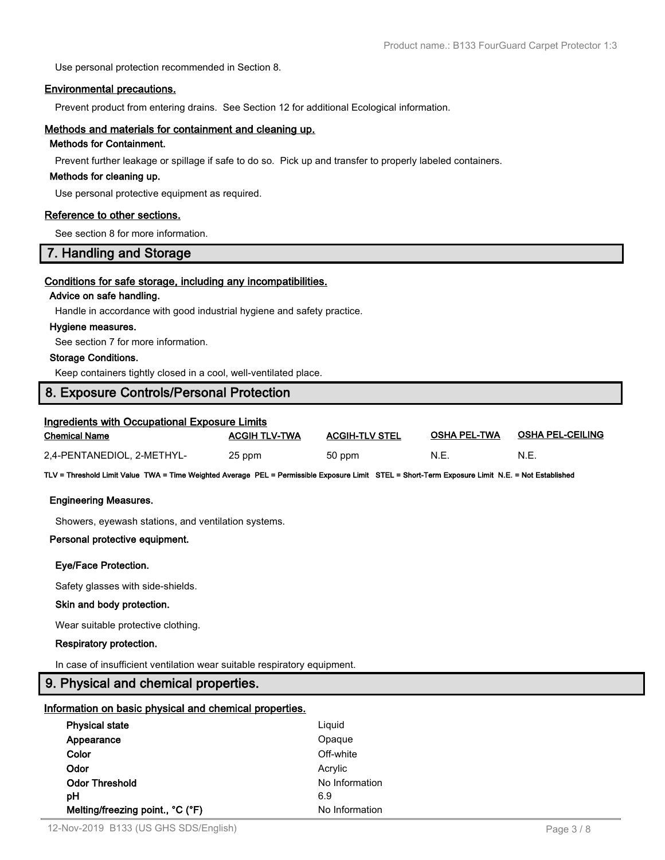Use personal protection recommended in Section 8.

#### **Environmental precautions.**

Prevent product from entering drains. See Section 12 for additional Ecological information.

#### **Methods and materials for containment and cleaning up.**

#### **Methods for Containment.**

Prevent further leakage or spillage if safe to do so. Pick up and transfer to properly labeled containers.

#### **Methods for cleaning up.**

Use personal protective equipment as required.

#### **Reference to other sections.**

See section 8 for more information.

### **7. Handling and Storage**

#### **Conditions for safe storage, including any incompatibilities.**

#### **Advice on safe handling.**

Handle in accordance with good industrial hygiene and safety practice.

#### **Hygiene measures.**

See section 7 for more information.

#### **Storage Conditions.**

Keep containers tightly closed in a cool, well-ventilated place.

### **8. Exposure Controls/Personal Protection**

### **Ingredients with Occupational Exposure Limits**

| <b>Chemical Name</b>       | <b>ACGIH TLV-TWA</b> | <b>ACGIH-TLV STEL</b> | <b>OSHA PEL-TWA</b> | <b>OSHA PEL-CEILING</b> |
|----------------------------|----------------------|-----------------------|---------------------|-------------------------|
| 2,4-PENTANEDIOL, 2-METHYL- | 25 ppm               | 50 ppm                | N.E.                | N.E.                    |

**TLV = Threshold Limit Value TWA = Time Weighted Average PEL = Permissible Exposure Limit STEL = Short-Term Exposure Limit N.E. = Not Established**

#### **Engineering Measures.**

Showers, eyewash stations, and ventilation systems.

#### **Personal protective equipment.**

#### **Eye/Face Protection.**

Safety glasses with side-shields.

#### **Skin and body protection.**

Wear suitable protective clothing.

#### **Respiratory protection.**

In case of insufficient ventilation wear suitable respiratory equipment.

### **9. Physical and chemical properties.**

#### **Information on basic physical and chemical properties.**

| <b>Physical state</b>            | Liguid         |  |
|----------------------------------|----------------|--|
| Appearance                       | Opaque         |  |
| Color                            | Off-white      |  |
| Odor                             | Acrylic        |  |
| <b>Odor Threshold</b>            | No Information |  |
| pН                               | 6.9            |  |
| Melting/freezing point., °C (°F) | No Information |  |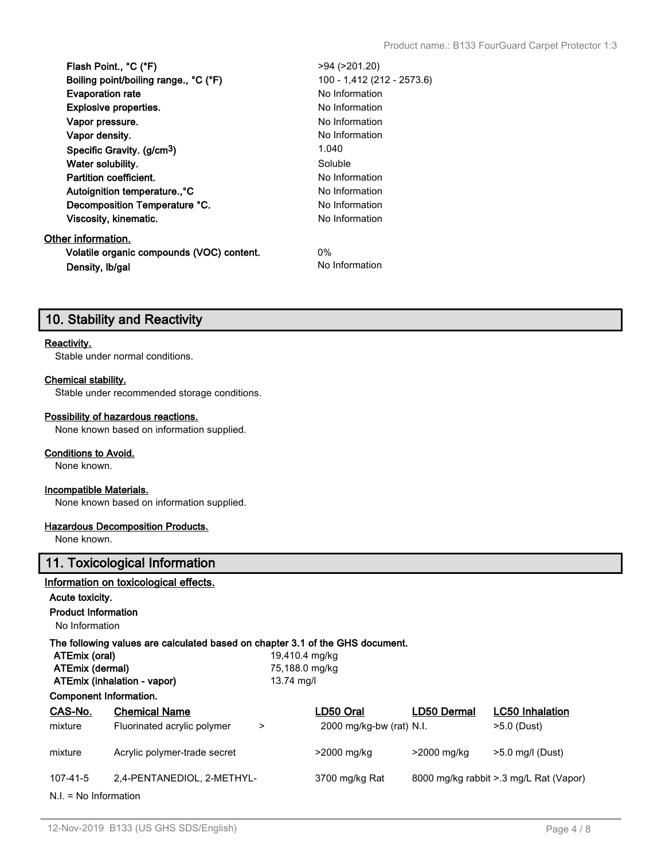| Flash Point., °C (°F)                     | >94 (>201.20)              |
|-------------------------------------------|----------------------------|
| Boiling point/boiling range., °C (°F)     | 100 - 1,412 (212 - 2573.6) |
| <b>Evaporation rate</b>                   | No Information             |
| <b>Explosive properties.</b>              | No Information             |
| Vapor pressure.                           | No Information             |
| Vapor density.                            | No Information             |
| Specific Gravity. (g/cm <sup>3</sup> )    | 1.040                      |
| Water solubility.                         | Soluble                    |
| <b>Partition coefficient.</b>             | No Information             |
| Autoignition temperature., °C             | No Information             |
| Decomposition Temperature °C.             | No Information             |
| Viscosity, kinematic.                     | No Information             |
| Other information.                        |                            |
| Volatile organic compounds (VOC) content. | $0\%$                      |
| Density, Ib/gal                           | No Information             |

### **10. Stability and Reactivity**

#### **Reactivity.**

Stable under normal conditions.

#### **Chemical stability.**

Stable under recommended storage conditions.

#### **Possibility of hazardous reactions.**

None known based on information supplied.

#### **Conditions to Avoid.**

None known.

#### **Incompatible Materials.**

None known based on information supplied.

#### **Hazardous Decomposition Products.**

None known.

### **11. Toxicological Information**

#### **Information on toxicological effects.**

#### **Acute toxicity.**

**Product Information**

No Information

#### **The following values are calculated based on chapter 3.1 of the GHS document.**

|                 | ATEmix (oral)           |                                       | 19,410.4 mg/kg |                            |             |                                        |
|-----------------|-------------------------|---------------------------------------|----------------|----------------------------|-------------|----------------------------------------|
| ATEmix (dermal) |                         | 75,188.0 mg/kg                        |                |                            |             |                                        |
|                 |                         | ATEmix (inhalation - vapor)           | 13.74 mg/l     |                            |             |                                        |
|                 | Component Information.  |                                       |                |                            |             |                                        |
|                 | CAS-No.                 | <b>Chemical Name</b>                  |                | LD50 Oral                  | LD50 Dermal | <b>LC50 Inhalation</b>                 |
|                 | mixture                 | Fluorinated acrylic polymer<br>$\geq$ |                | $2000$ mg/kg-bw (rat) N.I. |             | $>5.0$ (Dust)                          |
|                 | mixture                 | Acrylic polymer-trade secret          |                | >2000 mg/kg                | >2000 mg/kg | $>5.0$ mg/l (Dust)                     |
|                 | 107-41-5                | 2,4-PENTANEDIOL, 2-METHYL-            |                | 3700 mg/kg Rat             |             | 8000 mg/kg rabbit > 3 mg/L Rat (Vapor) |
|                 | $N.I. = No Information$ |                                       |                |                            |             |                                        |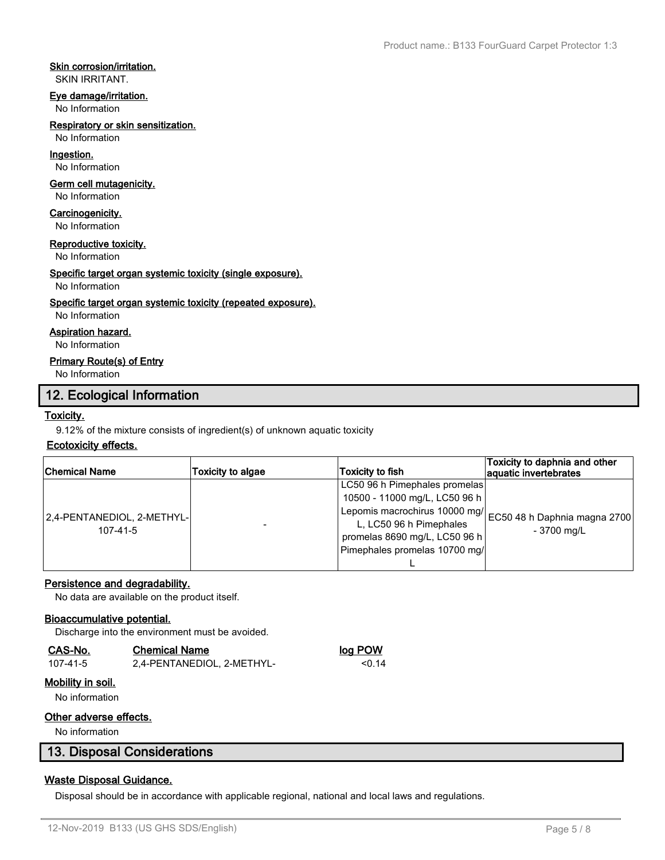#### **Skin corrosion/irritation.**

SKIN IRRITANT.

#### **Eye damage/irritation.**

No Information

#### **Respiratory or skin sensitization.**

No Information

### **Ingestion.**

No Information

#### **Germ cell mutagenicity.**

No Information

### **Carcinogenicity.**

No Information

#### **Reproductive toxicity.**

No Information

#### **Specific target organ systemic toxicity (single exposure).**

No Information

#### **Specific target organ systemic toxicity (repeated exposure).**

No Information

#### **Aspiration hazard.**

No Information

#### **Primary Route(s) of Entry**

No Information

### **12. Ecological Information**

#### **Toxicity.**

9.12% of the mixture consists of ingredient(s) of unknown aquatic toxicity

#### **Ecotoxicity effects.**

| <b>Chemical Name</b>                         | Toxicity to algae | <b>Toxicity to fish</b>                                    | Toxicity to daphnia and other<br>aquatic invertebrates |
|----------------------------------------------|-------------------|------------------------------------------------------------|--------------------------------------------------------|
|                                              |                   | LC50 96 h Pimephales promelas                              |                                                        |
| 2,4-PENTANEDIOL, 2-METHYL-<br>$107 - 41 - 5$ |                   | 10500 - 11000 mg/L, LC50 96 h                              |                                                        |
|                                              |                   | Lepomis macrochirus 10000 mg/ EC50 48 h Daphnia magna 2700 |                                                        |
|                                              |                   | L, LC50 96 h Pimephales                                    | - 3700 mg/L                                            |
|                                              |                   | promelas 8690 mg/L, LC50 96 h                              |                                                        |
|                                              |                   | Pimephales promelas 10700 mg/                              |                                                        |
|                                              |                   |                                                            |                                                        |

#### **Persistence and degradability.**

No data are available on the product itself.

#### **Bioaccumulative potential.**

Discharge into the environment must be avoided.

### **CAS-No. Chemical Name log POW**

| 107-41-5 | 2,4-PENTANEDIOL, 2-METHYL- | < 0.14 |
|----------|----------------------------|--------|

#### **Mobility in soil.**

No information

#### **Other adverse effects.**

No information

### **13. Disposal Considerations**

### **Waste Disposal Guidance.**

Disposal should be in accordance with applicable regional, national and local laws and regulations.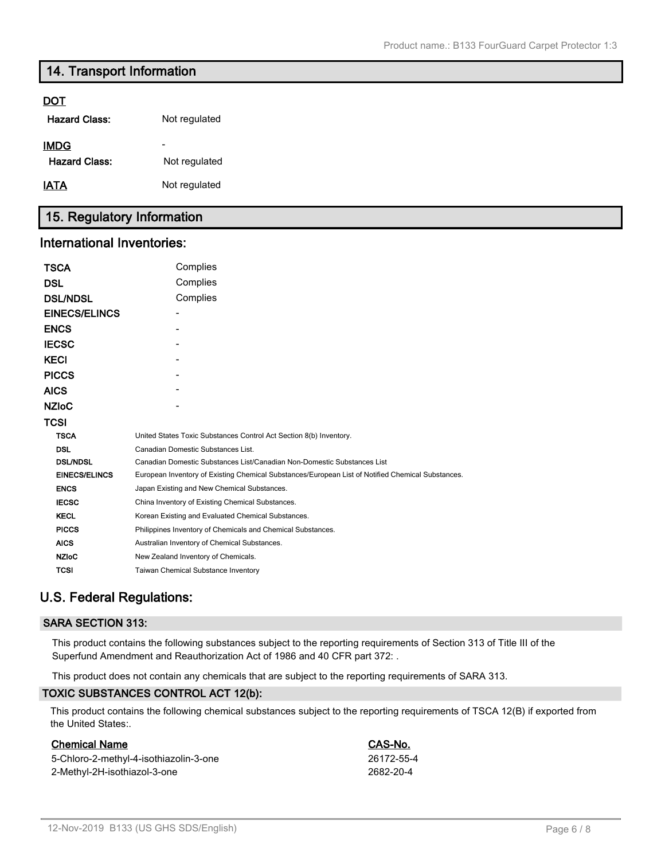### **14. Transport Information**

#### **DOT**

| <b>Hazard Class:</b>                | Not regulated                             |
|-------------------------------------|-------------------------------------------|
| <b>IMDG</b><br><b>Hazard Class:</b> | $\overline{\phantom{a}}$<br>Not regulated |
| <u>IATA</u>                         | Not regulated                             |

## **15. Regulatory Information**

#### **International Inventories:**

| <b>TSCA</b>          | Complies                                                                                          |
|----------------------|---------------------------------------------------------------------------------------------------|
| <b>DSL</b>           | Complies                                                                                          |
| <b>DSL/NDSL</b>      | Complies                                                                                          |
| <b>EINECS/ELINCS</b> |                                                                                                   |
| <b>ENCS</b>          |                                                                                                   |
| <b>IECSC</b>         |                                                                                                   |
| <b>KECI</b>          |                                                                                                   |
| <b>PICCS</b>         |                                                                                                   |
| <b>AICS</b>          |                                                                                                   |
| <b>NZIOC</b>         |                                                                                                   |
| TCSI                 |                                                                                                   |
| <b>TSCA</b>          | United States Toxic Substances Control Act Section 8(b) Inventory.                                |
| <b>DSL</b>           | Canadian Domestic Substances List.                                                                |
| <b>DSL/NDSL</b>      | Canadian Domestic Substances List/Canadian Non-Domestic Substances List                           |
| <b>EINECS/ELINCS</b> | European Inventory of Existing Chemical Substances/European List of Notified Chemical Substances. |
| <b>ENCS</b>          | Japan Existing and New Chemical Substances.                                                       |
| <b>IECSC</b>         | China Inventory of Existing Chemical Substances.                                                  |
| <b>KECL</b>          | Korean Existing and Evaluated Chemical Substances.                                                |
| <b>PICCS</b>         | Philippines Inventory of Chemicals and Chemical Substances.                                       |
| <b>AICS</b>          | Australian Inventory of Chemical Substances.                                                      |
| <b>NZIoC</b>         | New Zealand Inventory of Chemicals.                                                               |
| <b>TCSI</b>          | <b>Taiwan Chemical Substance Inventory</b>                                                        |

### **U.S. Federal Regulations:**

#### **SARA SECTION 313:**

This product contains the following substances subject to the reporting requirements of Section 313 of Title III of the Superfund Amendment and Reauthorization Act of 1986 and 40 CFR part 372: .

This product does not contain any chemicals that are subject to the reporting requirements of SARA 313.

#### **TOXIC SUBSTANCES CONTROL ACT 12(b):**

This product contains the following chemical substances subject to the reporting requirements of TSCA 12(B) if exported from the United States:.

#### **Chemical Name CAS-No.**

5-Chloro-2-methyl-4-isothiazolin-3-one 26172-55-4 2-Methyl-2H-isothiazol-3-one 2682-20-4